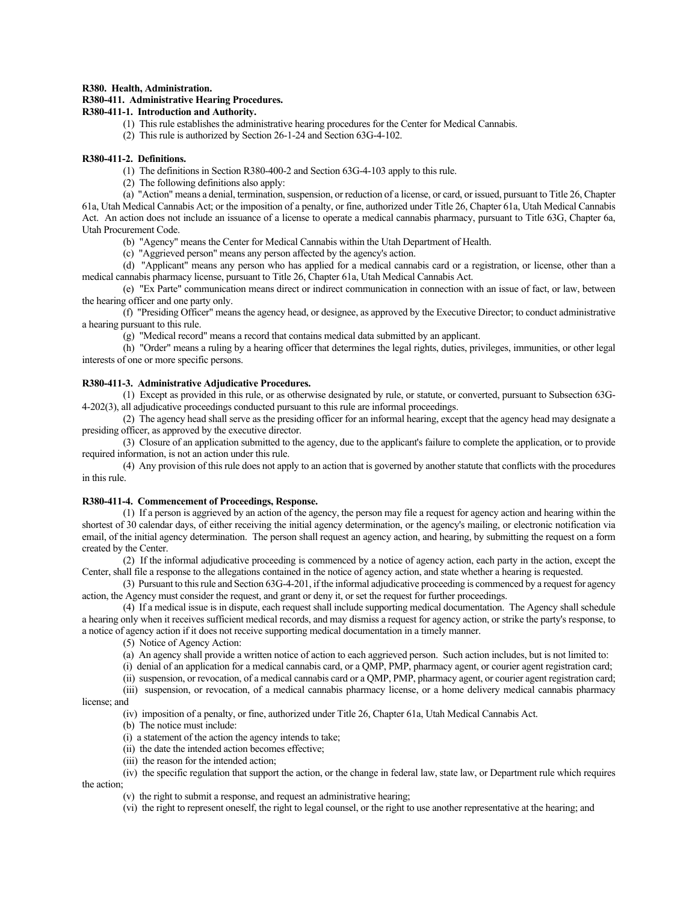### **R380. Health, Administration.**

# **R380-411. Administrative Hearing Procedures.**

# **R380-411-1. Introduction and Authority.**

- (1) This rule establishes the administrative hearing procedures for the Center for Medical Cannabis.
- (2) This rule is authorized by Section 26-1-24 and Section 63G-4-102.

#### **R380-411-2. Definitions.**

(1) The definitions in Section R380-400-2 and Section 63G-4-103 apply to this rule.

(2) The following definitions also apply:

(a) "Action" means a denial, termination, suspension, or reduction of a license, or card, or issued, pursuant to Title 26, Chapter 61a, Utah Medical Cannabis Act; or the imposition of a penalty, or fine, authorized under Title 26, Chapter 61a, Utah Medical Cannabis Act. An action does not include an issuance of a license to operate a medical cannabis pharmacy, pursuant to Title 63G, Chapter 6a, Utah Procurement Code.

(b) "Agency" means the Center for Medical Cannabis within the Utah Department of Health.

(c) "Aggrieved person" means any person affected by the agency's action.

(d) "Applicant" means any person who has applied for a medical cannabis card or a registration, or license, other than a medical cannabis pharmacy license, pursuant to Title 26, Chapter 61a, Utah Medical Cannabis Act.

(e) "Ex Parte" communication means direct or indirect communication in connection with an issue of fact, or law, between the hearing officer and one party only.

(f) "Presiding Officer" means the agency head, or designee, as approved by the Executive Director; to conduct administrative a hearing pursuant to this rule.

(g) "Medical record" means a record that contains medical data submitted by an applicant.

(h) "Order" means a ruling by a hearing officer that determines the legal rights, duties, privileges, immunities, or other legal interests of one or more specific persons.

## **R380-411-3. Administrative Adjudicative Procedures.**

(1) Except as provided in this rule, or as otherwise designated by rule, or statute, or converted, pursuant to Subsection 63G-4-202(3), all adjudicative proceedings conducted pursuant to this rule are informal proceedings.

(2) The agency head shall serve as the presiding officer for an informal hearing, except that the agency head may designate a presiding officer, as approved by the executive director.

(3) Closure of an application submitted to the agency, due to the applicant's failure to complete the application, or to provide required information, is not an action under this rule.

(4) Any provision of this rule does not apply to an action that is governed by another statute that conflicts with the procedures in this rule.

### **R380-411-4. Commencement of Proceedings, Response.**

(1) If a person is aggrieved by an action of the agency, the person may file a request for agency action and hearing within the shortest of 30 calendar days, of either receiving the initial agency determination, or the agency's mailing, or electronic notification via email, of the initial agency determination. The person shall request an agency action, and hearing, by submitting the request on a form created by the Center.

(2) If the informal adjudicative proceeding is commenced by a notice of agency action, each party in the action, except the Center, shall file a response to the allegations contained in the notice of agency action, and state whether a hearing is requested.

(3) Pursuant to this rule and Section 63G-4-201, if the informal adjudicative proceeding is commenced by a request for agency action, the Agency must consider the request, and grant or deny it, or set the request for further proceedings.

(4) If a medical issue is in dispute, each request shall include supporting medical documentation. The Agency shall schedule a hearing only when it receives sufficient medical records, and may dismiss a request for agency action, or strike the party's response, to a notice of agency action if it does not receive supporting medical documentation in a timely manner.

(5) Notice of Agency Action:

(a) An agency shall provide a written notice of action to each aggrieved person. Such action includes, but is not limited to:

(i) denial of an application for a medical cannabis card, or a QMP, PMP, pharmacy agent, or courier agent registration card;

(ii) suspension, or revocation, of a medical cannabis card or a QMP, PMP, pharmacy agent, or courier agent registration card;

(iii) suspension, or revocation, of a medical cannabis pharmacy license, or a home delivery medical cannabis pharmacy license; and

## (iv) imposition of a penalty, or fine, authorized under Title 26, Chapter 61a, Utah Medical Cannabis Act.

- (b) The notice must include:
- (i) a statement of the action the agency intends to take;
- (ii) the date the intended action becomes effective;
- (iii) the reason for the intended action;

(iv) the specific regulation that support the action, or the change in federal law, state law, or Department rule which requires the action;

- (v) the right to submit a response, and request an administrative hearing;
- (vi) the right to represent oneself, the right to legal counsel, or the right to use another representative at the hearing; and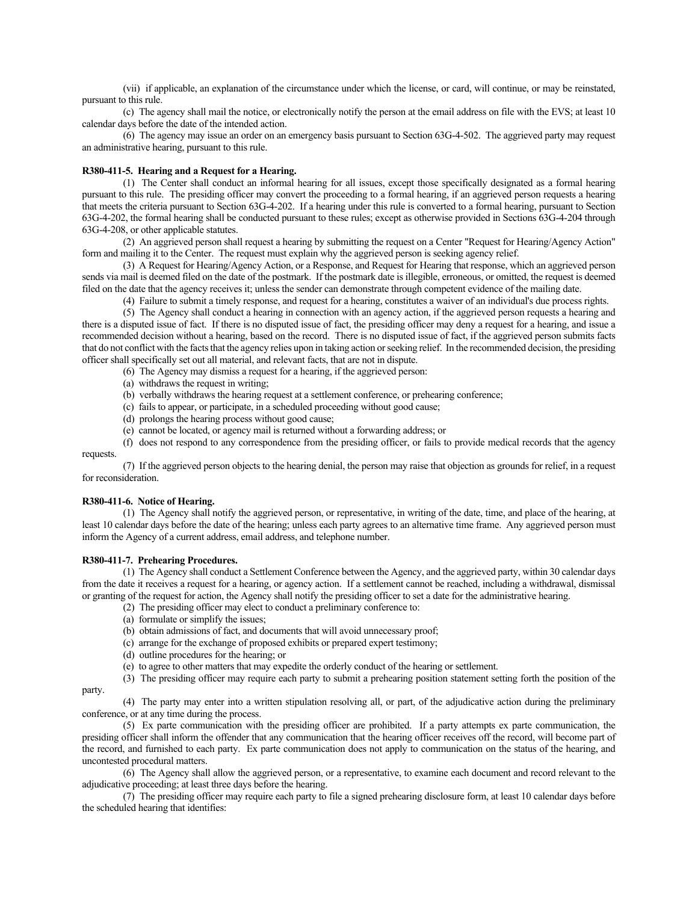(vii) if applicable, an explanation of the circumstance under which the license, or card, will continue, or may be reinstated, pursuant to this rule.

(c) The agency shall mail the notice, or electronically notify the person at the email address on file with the EVS; at least 10 calendar days before the date of the intended action.

(6) The agency may issue an order on an emergency basis pursuant to Section 63G-4-502. The aggrieved party may request an administrative hearing, pursuant to this rule.

#### **R380-411-5. Hearing and a Request for a Hearing.**

(1) The Center shall conduct an informal hearing for all issues, except those specifically designated as a formal hearing pursuant to this rule. The presiding officer may convert the proceeding to a formal hearing, if an aggrieved person requests a hearing that meets the criteria pursuant to Section 63G-4-202. If a hearing under this rule is converted to a formal hearing, pursuant to Section 63G-4-202, the formal hearing shall be conducted pursuant to these rules; except as otherwise provided in Sections 63G-4-204 through 63G-4-208, or other applicable statutes.

(2) An aggrieved person shall request a hearing by submitting the request on a Center "Request for Hearing/Agency Action" form and mailing it to the Center. The request must explain why the aggrieved person is seeking agency relief.

(3) A Request for Hearing/Agency Action, or a Response, and Request for Hearing that response, which an aggrieved person sends via mail is deemed filed on the date of the postmark. If the postmark date is illegible, erroneous, or omitted, the request is deemed filed on the date that the agency receives it; unless the sender can demonstrate through competent evidence of the mailing date.

(4) Failure to submit a timely response, and request for a hearing, constitutes a waiver of an individual's due process rights.

(5) The Agency shall conduct a hearing in connection with an agency action, if the aggrieved person requests a hearing and there is a disputed issue of fact. If there is no disputed issue of fact, the presiding officer may deny a request for a hearing, and issue a recommended decision without a hearing, based on the record. There is no disputed issue of fact, if the aggrieved person submits facts that do not conflict with the facts that the agency relies upon in taking action or seeking relief. In the recommended decision, the presiding officer shall specifically set out all material, and relevant facts, that are not in dispute.

(6) The Agency may dismiss a request for a hearing, if the aggrieved person:

- (a) withdraws the request in writing;
- (b) verbally withdraws the hearing request at a settlement conference, or prehearing conference;
- (c) fails to appear, or participate, in a scheduled proceeding without good cause;
- (d) prolongs the hearing process without good cause;
- (e) cannot be located, or agency mail is returned without a forwarding address; or

(f) does not respond to any correspondence from the presiding officer, or fails to provide medical records that the agency requests.

(7) If the aggrieved person objects to the hearing denial, the person may raise that objection as grounds for relief, in a request for reconsideration.

#### **R380-411-6. Notice of Hearing.**

(1) The Agency shall notify the aggrieved person, or representative, in writing of the date, time, and place of the hearing, at least 10 calendar days before the date of the hearing; unless each party agrees to an alternative time frame. Any aggrieved person must inform the Agency of a current address, email address, and telephone number.

#### **R380-411-7. Prehearing Procedures.**

(1) The Agency shall conduct a Settlement Conference between the Agency, and the aggrieved party, within 30 calendar days from the date it receives a request for a hearing, or agency action. If a settlement cannot be reached, including a withdrawal, dismissal or granting of the request for action, the Agency shall notify the presiding officer to set a date for the administrative hearing.

- (2) The presiding officer may elect to conduct a preliminary conference to:
- (a) formulate or simplify the issues;
- (b) obtain admissions of fact, and documents that will avoid unnecessary proof;
- (c) arrange for the exchange of proposed exhibits or prepared expert testimony;
- (d) outline procedures for the hearing; or
- (e) to agree to other matters that may expedite the orderly conduct of the hearing or settlement.

(3) The presiding officer may require each party to submit a prehearing position statement setting forth the position of the

#### party.

(4) The party may enter into a written stipulation resolving all, or part, of the adjudicative action during the preliminary conference, or at any time during the process.

(5) Ex parte communication with the presiding officer are prohibited. If a party attempts ex parte communication, the presiding officer shall inform the offender that any communication that the hearing officer receives off the record, will become part of the record, and furnished to each party. Ex parte communication does not apply to communication on the status of the hearing, and uncontested procedural matters.

(6) The Agency shall allow the aggrieved person, or a representative, to examine each document and record relevant to the adjudicative proceeding; at least three days before the hearing.

(7) The presiding officer may require each party to file a signed prehearing disclosure form, at least 10 calendar days before the scheduled hearing that identifies: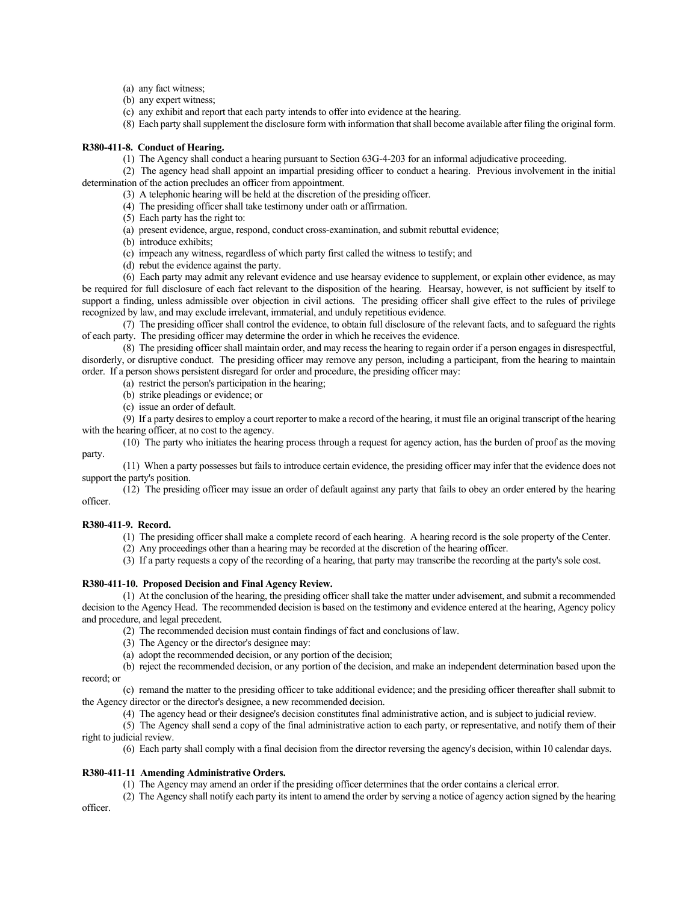- (a) any fact witness;
- (b) any expert witness;

(c) any exhibit and report that each party intends to offer into evidence at the hearing.

(8) Each party shall supplement the disclosure form with information that shall become available after filing the original form.

## **R380-411-8. Conduct of Hearing.**

(1) The Agency shall conduct a hearing pursuant to Section 63G-4-203 for an informal adjudicative proceeding.

(2) The agency head shall appoint an impartial presiding officer to conduct a hearing. Previous involvement in the initial determination of the action precludes an officer from appointment.

(3) A telephonic hearing will be held at the discretion of the presiding officer.

- (4) The presiding officer shall take testimony under oath or affirmation.
- (5) Each party has the right to:
- (a) present evidence, argue, respond, conduct cross-examination, and submit rebuttal evidence;
- (b) introduce exhibits;
- (c) impeach any witness, regardless of which party first called the witness to testify; and
- (d) rebut the evidence against the party.

(6) Each party may admit any relevant evidence and use hearsay evidence to supplement, or explain other evidence, as may be required for full disclosure of each fact relevant to the disposition of the hearing. Hearsay, however, is not sufficient by itself to support a finding, unless admissible over objection in civil actions. The presiding officer shall give effect to the rules of privilege recognized by law, and may exclude irrelevant, immaterial, and unduly repetitious evidence.

(7) The presiding officer shall control the evidence, to obtain full disclosure of the relevant facts, and to safeguard the rights of each party. The presiding officer may determine the order in which he receives the evidence.

(8) The presiding officer shall maintain order, and may recess the hearing to regain order if a person engages in disrespectful, disorderly, or disruptive conduct. The presiding officer may remove any person, including a participant, from the hearing to maintain order. If a person shows persistent disregard for order and procedure, the presiding officer may:

(a) restrict the person's participation in the hearing;

- (b) strike pleadings or evidence; or
- (c) issue an order of default.

(9) If a party desires to employ a court reporter to make a record of the hearing, it must file an original transcript of the hearing with the hearing officer, at no cost to the agency.

(10) The party who initiates the hearing process through a request for agency action, has the burden of proof as the moving party.

(11) When a party possesses but fails to introduce certain evidence, the presiding officer may infer that the evidence does not support the party's position.

(12) The presiding officer may issue an order of default against any party that fails to obey an order entered by the hearing officer.

#### **R380-411-9. Record.**

(1) The presiding officer shall make a complete record of each hearing. A hearing record is the sole property of the Center.

(2) Any proceedings other than a hearing may be recorded at the discretion of the hearing officer.

(3) If a party requests a copy of the recording of a hearing, that party may transcribe the recording at the party's sole cost.

## **R380-411-10. Proposed Decision and Final Agency Review.**

(1) At the conclusion of the hearing, the presiding officer shall take the matter under advisement, and submit a recommended decision to the Agency Head. The recommended decision is based on the testimony and evidence entered at the hearing, Agency policy and procedure, and legal precedent.

(2) The recommended decision must contain findings of fact and conclusions of law.

- (3) The Agency or the director's designee may:
- (a) adopt the recommended decision, or any portion of the decision;

(b) reject the recommended decision, or any portion of the decision, and make an independent determination based upon the record; or

(c) remand the matter to the presiding officer to take additional evidence; and the presiding officer thereafter shall submit to the Agency director or the director's designee, a new recommended decision.

(4) The agency head or their designee's decision constitutes final administrative action, and is subject to judicial review.

(5) The Agency shall send a copy of the final administrative action to each party, or representative, and notify them of their right to judicial review.

(6) Each party shall comply with a final decision from the director reversing the agency's decision, within 10 calendar days.

## **R380-411-11 Amending Administrative Orders.**

(1) The Agency may amend an order if the presiding officer determines that the order contains a clerical error.

(2) The Agency shall notify each party its intent to amend the order by serving a notice of agency action signed by the hearing officer.